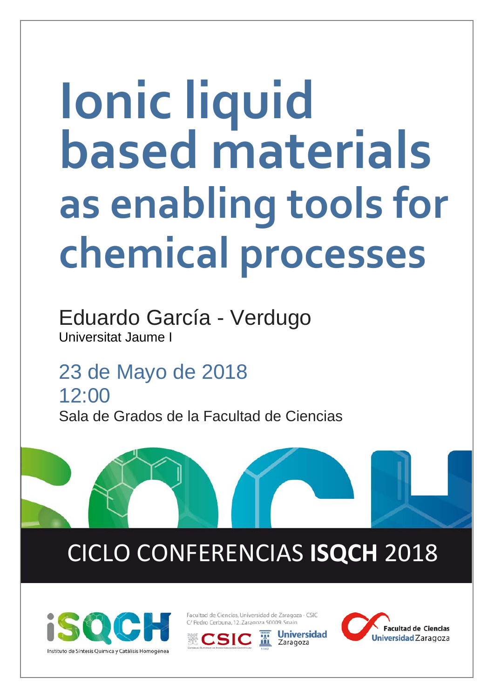# **Ionic liquid based materials as enabling tools for chemical processes**

Eduardo García - Verdugo Universitat Jaume I

23 de Mayo de 2018 12:00 Sala de Grados de la Facultad de Ciencias

# CICLO CONFERENCIAS **ISQCH** 2018



Facultad de Ciencias. Universidad de Zaragoza - CSIC C/ Pedro Cerbuna, 12, Zaragoza 50009, Spain